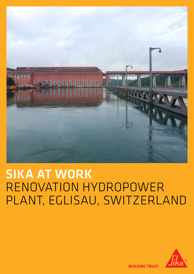

# SIKA AT WORK RENOVATION HYDROPOWER PLANT, EGLISAU, SWITZERLAND



**BUILDING TRUST**